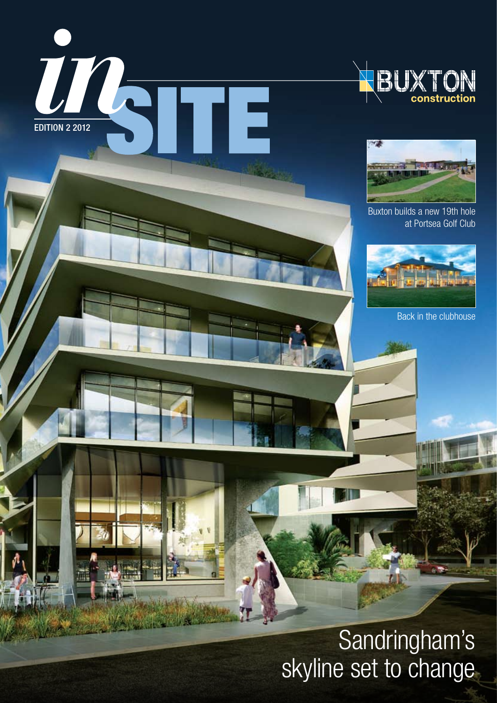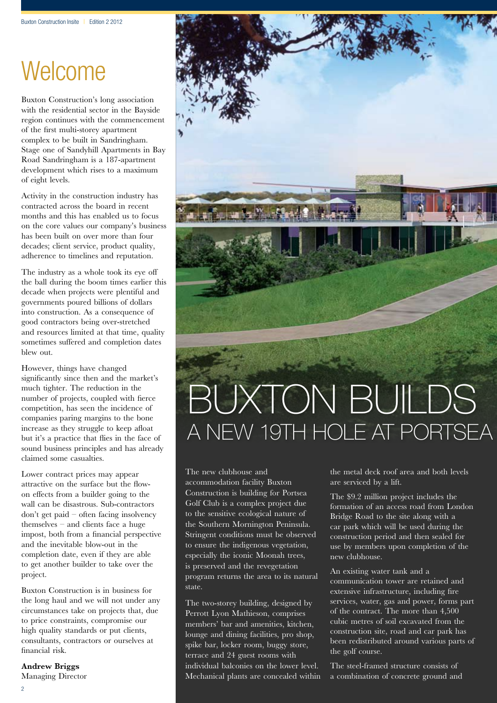# **Welcome**

Buxton Construction's long association with the residential sector in the Bayside region continues with the commencement of the first multi-storey apartment complex to be built in Sandringham. Stage one of Sandyhill Apartments in Bay Road Sandringham is a 187-apartment development which rises to a maximum of eight levels.

Activity in the construction industry has contracted across the board in recent months and this has enabled us to focus on the core values our company's business has been built on over more than four decades; client service, product quality, adherence to timelines and reputation.

The industry as a whole took its eye off the ball during the boom times earlier this decade when projects were plentiful and governments poured billions of dollars into construction. As a consequence of good contractors being over-stretched and resources limited at that time, quality sometimes suffered and completion dates blew out.

However, things have changed significantly since then and the market's much tighter. The reduction in the number of projects, coupled with fierce competition, has seen the incidence of companies paring margins to the bone increase as they struggle to keep afloat but it's a practice that flies in the face of sound business principles and has already claimed some casualties.

Lower contract prices may appear attractive on the surface but the flowon effects from a builder going to the wall can be disastrous. Sub-contractors don't get paid – often facing insolvency themselves – and clients face a huge impost, both from a financial perspective and the inevitable blow-out in the completion date, even if they are able to get another builder to take over the project.

Buxton Construction is in business for the long haul and we will not under any circumstances take on projects that, due to price constraints, compromise our high quality standards or put clients, consultants, contractors or ourselves at financial risk.

**Andrew Briggs**  Managing Director



# Buxton builds A NEW 19TH HOLE AT PORTSEA

The new clubhouse and accommodation facility Buxton Construction is building for Portsea Golf Club is a complex project due to the sensitive ecological nature of the Southern Mornington Peninsula. Stringent conditions must be observed to ensure the indigenous vegetation, especially the iconic Moonah trees, is preserved and the revegetation program returns the area to its natural state.

The two-storey building, designed by Perrott Lyon Mathieson, comprises members' bar and amenities, kitchen, lounge and dining facilities, pro shop, spike bar, locker room, buggy store, terrace and 24 guest rooms with individual balconies on the lower level. Mechanical plants are concealed within the metal deck roof area and both levels are serviced by a lift.

The \$9.2 million project includes the formation of an access road from London Bridge Road to the site along with a car park which will be used during the construction period and then sealed for use by members upon completion of the new clubhouse.

An existing water tank and a communication tower are retained and extensive infrastructure, including fire services, water, gas and power, forms part of the contract. The more than 4,500 cubic metres of soil excavated from the construction site, road and car park has been redistributed around various parts of the golf course.

The steel-framed structure consists of a combination of concrete ground and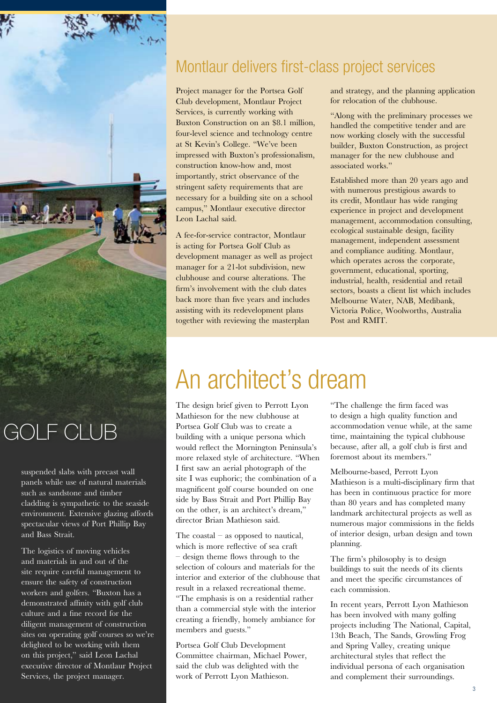

suspended slabs with precast wall panels while use of natural materials such as sandstone and timber cladding is sympathetic to the seaside environment. Extensive glazing affords spectacular views of Port Phillip Bay and Bass Strait.

The logistics of moving vehicles and materials in and out of the site require careful management to ensure the safety of construction workers and golfers. "Buxton has a demonstrated affinity with golf club culture and a fine record for the diligent management of construction sites on operating golf courses so we're delighted to be working with them on this project," said Leon Lachal executive director of Montlaur Project Services, the project manager.

### Montlaur delivers first-class project services

Project manager for the Portsea Golf Club development, Montlaur Project Services, is currently working with Buxton Construction on an \$8.1 million, four-level science and technology centre at St Kevin's College. "We've been impressed with Buxton's professionalism, construction know-how and, most importantly, strict observance of the stringent safety requirements that are necessary for a building site on a school campus," Montlaur executive director Leon Lachal said.

A fee-for-service contractor, Montlaur is acting for Portsea Golf Club as development manager as well as project manager for a 21-lot subdivision, new clubhouse and course alterations. The firm's involvement with the club dates back more than five years and includes assisting with its redevelopment plans together with reviewing the masterplan

and strategy, and the planning application for relocation of the clubhouse.

"Along with the preliminary processes we handled the competitive tender and are now working closely with the successful builder, Buxton Construction, as project manager for the new clubhouse and associated works."

Established more than 20 years ago and with numerous prestigious awards to its credit, Montlaur has wide ranging experience in project and development management, accommodation consulting, ecological sustainable design, facility management, independent assessment and compliance auditing. Montlaur, which operates across the corporate, government, educational, sporting, industrial, health, residential and retail sectors, boasts a client list which includes Melbourne Water, NAB, Medibank, Victoria Police, Woolworths, Australia Post and RMIT.

## An architect's dream

The design brief given to Perrott Lyon Mathieson for the new clubhouse at Portsea Golf Club was to create a building with a unique persona which would reflect the Mornington Peninsula's more relaxed style of architecture. "When I first saw an aerial photograph of the site I was euphoric; the combination of a magnificent golf course bounded on one side by Bass Strait and Port Phillip Bay on the other, is an architect's dream," director Brian Mathieson said.

The coastal – as opposed to nautical, which is more reflective of sea craft – design theme flows through to the selection of colours and materials for the interior and exterior of the clubhouse that result in a relaxed recreational theme. "The emphasis is on a residential rather than a commercial style with the interior creating a friendly, homely ambiance for members and guests."

Portsea Golf Club Development Committee chairman, Michael Power, said the club was delighted with the work of Perrott Lyon Mathieson.

"The challenge the firm faced was to design a high quality function and accommodation venue while, at the same time, maintaining the typical clubhouse because, after all, a golf club is first and foremost about its members."

Melbourne-based, Perrott Lyon Mathieson is a multi-disciplinary firm that has been in continuous practice for more than 80 years and has completed many landmark architectural projects as well as numerous major commissions in the fields of interior design, urban design and town planning.

The firm's philosophy is to design buildings to suit the needs of its clients and meet the specific circumstances of each commission.

In recent years, Perrott Lyon Mathieson has been involved with many golfing projects including The National, Capital, 13th Beach, The Sands, Growling Frog and Spring Valley, creating unique architectural styles that reflect the individual persona of each organisation and complement their surroundings.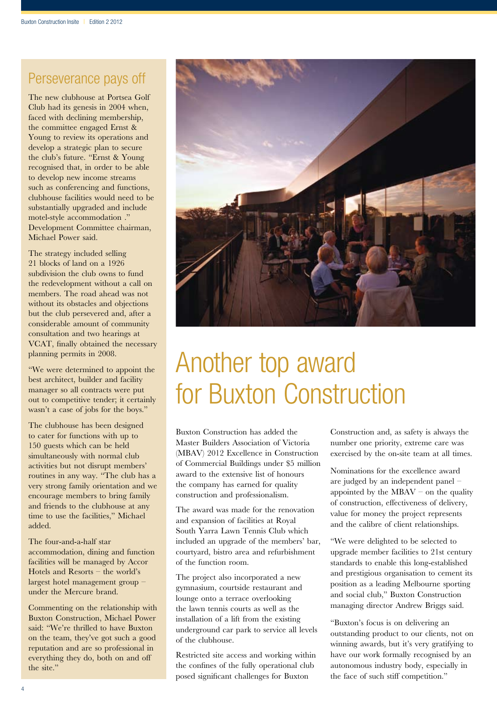### Perseverance pays off

The new clubhouse at Portsea Golf Club had its genesis in 2004 when, faced with declining membership, the committee engaged Ernst & Young to review its operations and develop a strategic plan to secure the club's future. "Ernst & Young recognised that, in order to be able to develop new income streams such as conferencing and functions, clubhouse facilities would need to be substantially upgraded and include motel-style accommodation ." Development Committee chairman, Michael Power said.

The strategy included selling 21 blocks of land on a 1926 subdivision the club owns to fund the redevelopment without a call on members. The road ahead was not without its obstacles and objections but the club persevered and, after a considerable amount of community consultation and two hearings at VCAT, finally obtained the necessary planning permits in 2008.

"We were determined to appoint the best architect, builder and facility manager so all contracts were put out to competitive tender; it certainly wasn't a case of jobs for the boys."

The clubhouse has been designed to cater for functions with up to 150 guests which can be held simultaneously with normal club activities but not disrupt members' routines in any way. "The club has a very strong family orientation and we encourage members to bring family and friends to the clubhouse at any time to use the facilities," Michael added.

The four-and-a-half star accommodation, dining and function facilities will be managed by Accor Hotels and Resorts – the world's largest hotel management group – under the Mercure brand.

Commenting on the relationship with Buxton Construction, Michael Power said: "We're thrilled to have Buxton on the team, they've got such a good reputation and are so professional in everything they do, both on and off the site."



# Another top award for Buxton Construction

Buxton Construction has added the Master Builders Association of Victoria (MBAV) 2012 Excellence in Construction of Commercial Buildings under \$5 million award to the extensive list of honours the company has earned for quality construction and professionalism.

The award was made for the renovation and expansion of facilities at Royal South Yarra Lawn Tennis Club which included an upgrade of the members' bar, courtyard, bistro area and refurbishment of the function room.

The project also incorporated a new gymnasium, courtside restaurant and lounge onto a terrace overlooking the lawn tennis courts as well as the installation of a lift from the existing underground car park to service all levels of the clubhouse.

Restricted site access and working within the confines of the fully operational club posed significant challenges for Buxton

Construction and, as safety is always the number one priority, extreme care was exercised by the on-site team at all times.

Nominations for the excellence award are judged by an independent panel – appointed by the  $MBAV -$  on the quality of construction, effectiveness of delivery, value for money the project represents and the calibre of client relationships.

"We were delighted to be selected to upgrade member facilities to 21st century standards to enable this long-established and prestigious organisation to cement its position as a leading Melbourne sporting and social club," Buxton Construction managing director Andrew Briggs said.

"Buxton's focus is on delivering an outstanding product to our clients, not on winning awards, but it's very gratifying to have our work formally recognised by an autonomous industry body, especially in the face of such stiff competition."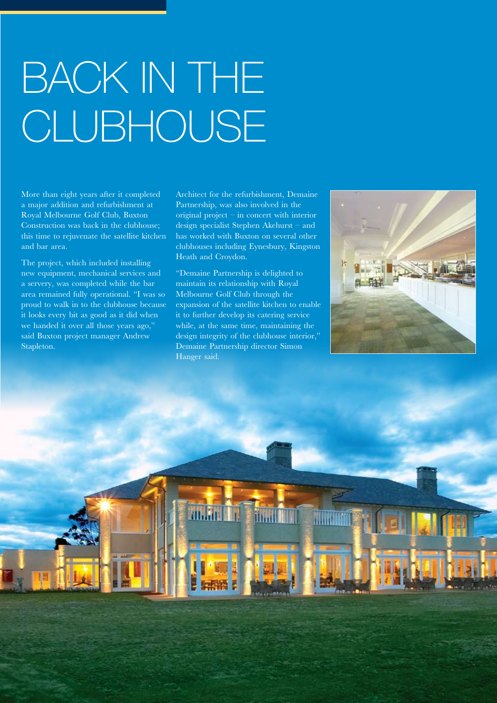# Back in the CLUBHOUSE<sup>®</sup>

More than eight years after it completed a major addition and refurbishment at Royal Melbourne Golf Club, Buxton Construction was back in the clubhouse; this time to rejuvenate the satellite kitchen and bar area.

The project, which included installing new equipment, mechanical services and a servery, was completed while the bar area remained fully operational. "I was so proud to walk in to the clubhouse because it looks every bit as good as it did when we handed it over all those years ago," said Buxton project manager Andrew Stapleton.

Architect for the refurbishment, Demaine Partnership, was also involved in the original project – in concert with interior design specialist Stephen Akehurst – and has worked with Buxton on several other clubhouses including Eynesbury, Kingston Heath and Croydon.

"Demaine Partnership is delighted to maintain its relationship with Royal Melbourne Golf Club through the expansion of the satellite kitchen to enable it to further develop its catering service while, at the same time, maintaining the design integrity of the clubhouse interior.' Demaine Partnership director Simon Hanger said.



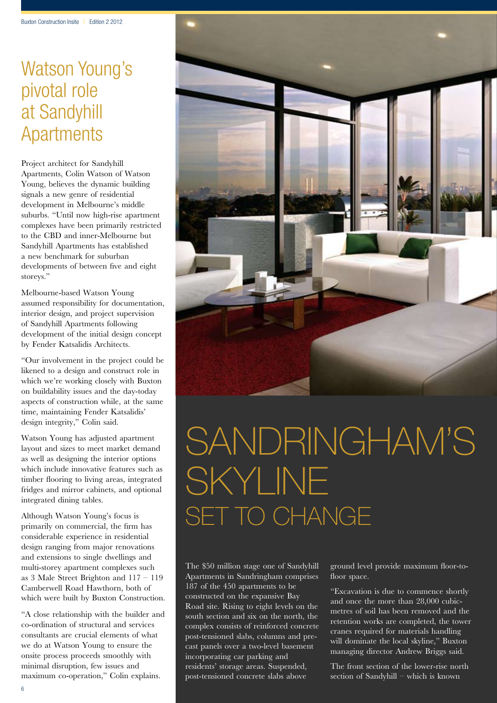### Watson Young's pivotal role at Sandyhill **Apartments**

Project architect for Sandyhill Apartments, Colin Watson of Watson Young, believes the dynamic building signals a new genre of residential development in Melbourne's middle suburbs. "Until now high-rise apartment complexes have been primarily restricted to the CBD and inner-Melbourne but Sandyhill Apartments has established a new benchmark for suburban developments of between five and eight storeys."

Melbourne-based Watson Young assumed responsibility for documentation, interior design, and project supervision of Sandyhill Apartments following development of the initial design concept by Fender Katsalidis Architects.

"Our involvement in the project could be likened to a design and construct role in which we're working closely with Buxton on buildability issues and the day-today aspects of construction while, at the same time, maintaining Fender Katsalidis' design integrity," Colin said.

Watson Young has adjusted apartment layout and sizes to meet market demand as well as designing the interior options which include innovative features such as timber flooring to living areas, integrated fridges and mirror cabinets, and optional integrated dining tables.

Although Watson Young's focus is primarily on commercial, the firm has considerable experience in residential design ranging from major renovations and extensions to single dwellings and multi-storey apartment complexes such as 3 Male Street Brighton and 117 – 119 Camberwell Road Hawthorn, both of which were built by Buxton Construction.

"A close relationship with the builder and co-ordination of structural and services consultants are crucial elements of what we do at Watson Young to ensure the onsite process proceeds smoothly with minimal disruption, few issues and maximum co-operation," Colin explains.



# SANDRINGHAM'S skyline set to change

The \$50 million stage one of Sandyhill Apartments in Sandringham comprises 187 of the 450 apartments to be constructed on the expansive Bay Road site. Rising to eight levels on the south section and six on the north, the complex consists of reinforced concrete post-tensioned slabs, columns and precast panels over a two-level basement incorporating car parking and residents' storage areas. Suspended, post-tensioned concrete slabs above

ground level provide maximum floor-tofloor space.

"Excavation is due to commence shortly and once the more than 28,000 cubicmetres of soil has been removed and the retention works are completed, the tower cranes required for materials handling will dominate the local skyline," Buxton managing director Andrew Briggs said.

The front section of the lower-rise north section of Sandyhill – which is known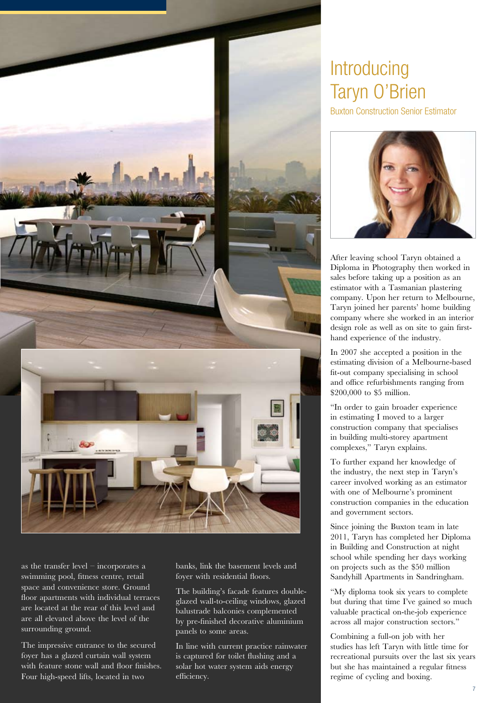

as the transfer level – incorporates a swimming pool, fitness centre, retail space and convenience store. Ground floor apartments with individual terraces are located at the rear of this level and are all elevated above the level of the surrounding ground.

The impressive entrance to the secured foyer has a glazed curtain wall system with feature stone wall and floor finishes. Four high-speed lifts, located in two

banks, link the basement levels and foyer with residential floors.

The building's facade features doubleglazed wall-to-ceiling windows, glazed balustrade balconies complemented by pre-finished decorative aluminium panels to some areas.

In line with current practice rainwater is captured for toilet flushing and a solar hot water system aids energy efficiency.

### **Introducing** Taryn O'Brien

Buxton Construction Senior Estimator



After leaving school Taryn obtained a Diploma in Photography then worked in sales before taking up a position as an estimator with a Tasmanian plastering company. Upon her return to Melbourne, Taryn joined her parents' home building company where she worked in an interior design role as well as on site to gain firsthand experience of the industry.

In 2007 she accepted a position in the estimating division of a Melbourne-based fit-out company specialising in school and office refurbishments ranging from \$200,000 to \$5 million.

"In order to gain broader experience in estimating I moved to a larger construction company that specialises in building multi-storey apartment complexes," Taryn explains.

To further expand her knowledge of the industry, the next step in Taryn's career involved working as an estimator with one of Melbourne's prominent construction companies in the education and government sectors.

Since joining the Buxton team in late 2011, Taryn has completed her Diploma in Building and Construction at night school while spending her days working on projects such as the \$50 million Sandyhill Apartments in Sandringham.

"My diploma took six years to complete but during that time I've gained so much valuable practical on-the-job experience across all major construction sectors."

Combining a full-on job with her studies has left Taryn with little time for recreational pursuits over the last six years but she has maintained a regular fitness regime of cycling and boxing.